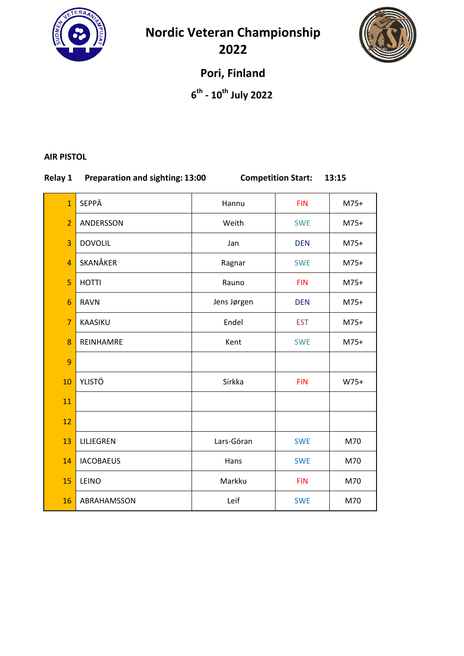

**Nordic Veteran Championship** 



**Pori, Finland**

**6th ‐ 10th July 2022**

#### **AIR PISTOL**

# **Relay 1 Preparation and sighting: 13:00 Competition Start: 13:15**

| $\overline{1}$ | SEPPÄ            | Hannu       | <b>FIN</b> | $M75+$ |
|----------------|------------------|-------------|------------|--------|
| $\overline{2}$ | ANDERSSON        | Weith       | <b>SWE</b> | $M75+$ |
| 3              | <b>DOVOLIL</b>   | Jan         | <b>DEN</b> | $M75+$ |
| $\overline{4}$ | SKANÅKER         | Ragnar      | <b>SWE</b> | $M75+$ |
| 5              | <b>HOTTI</b>     | Rauno       | <b>FIN</b> | $M75+$ |
| 6              | <b>RAVN</b>      | Jens Jørgen | <b>DEN</b> | $M75+$ |
| $\overline{7}$ | KAASIKU          | Endel       | <b>EST</b> | $M75+$ |
| 8              | REINHAMRE        | Kent        | <b>SWE</b> | $M75+$ |
| 9              |                  |             |            |        |
| 10             | <b>YLISTÖ</b>    | Sirkka      | <b>FIN</b> | $W75+$ |
| 11             |                  |             |            |        |
| 12             |                  |             |            |        |
| 13             | LILJEGREN        | Lars-Göran  | <b>SWE</b> | M70    |
| 14             | <b>IACOBAEUS</b> | Hans        | <b>SWE</b> | M70    |
| 15             | LEINO            | Markku      | <b>FIN</b> | M70    |
| 16             | ABRAHAMSSON      | Leif        | <b>SWE</b> | M70    |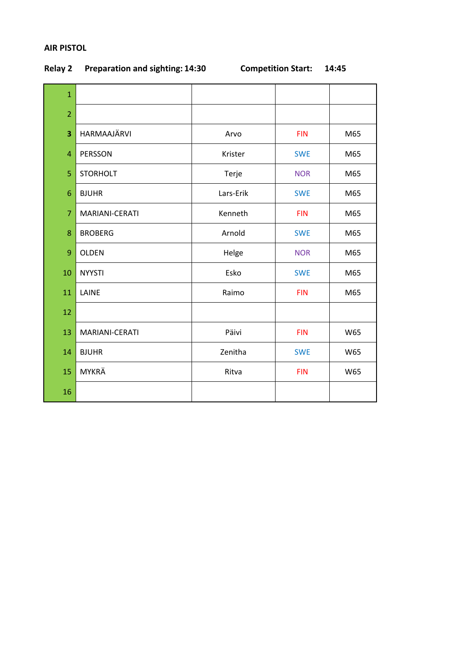## **AIR PISTOL**

| $\mathbf{1}$            |                 |           |            |     |
|-------------------------|-----------------|-----------|------------|-----|
| $\overline{2}$          |                 |           |            |     |
| $\overline{\mathbf{3}}$ | HARMAAJÄRVI     | Arvo      | <b>FIN</b> | M65 |
| $\overline{4}$          | PERSSON         | Krister   | <b>SWE</b> | M65 |
| 5                       | <b>STORHOLT</b> | Terje     | <b>NOR</b> | M65 |
| 6                       | <b>BJUHR</b>    | Lars-Erik | <b>SWE</b> | M65 |
| $\overline{7}$          | MARIANI-CERATI  | Kenneth   | <b>FIN</b> | M65 |
| 8                       | <b>BROBERG</b>  | Arnold    | <b>SWE</b> | M65 |
| 9                       | <b>OLDEN</b>    | Helge     | <b>NOR</b> | M65 |
| 10                      | <b>NYYSTI</b>   | Esko      | <b>SWE</b> | M65 |
| 11                      | LAINE           | Raimo     | <b>FIN</b> | M65 |
| 12                      |                 |           |            |     |
| 13                      | MARIANI-CERATI  | Päivi     | <b>FIN</b> | W65 |
| 14                      | <b>BJUHR</b>    | Zenitha   | <b>SWE</b> | W65 |
| 15                      | <b>MYKRÄ</b>    | Ritva     | <b>FIN</b> | W65 |
| 16                      |                 |           |            |     |

# **Relay 2 Preparation and sighting: 14:30 Competition Start: 14:45**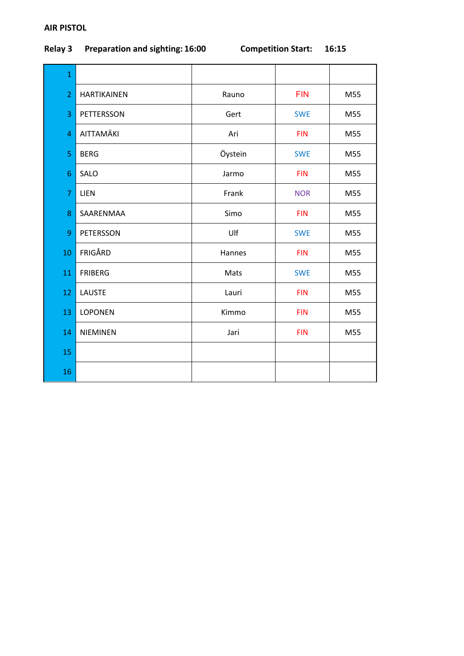# **AIR PISTOL**

# **Relay 3 Preparation and sighting: 16:00 Competition Start: 16:15**

| $\mathbf{1}$   |                    |         |            |     |
|----------------|--------------------|---------|------------|-----|
| $\overline{2}$ | <b>HARTIKAINEN</b> | Rauno   | <b>FIN</b> | M55 |
| 3              | <b>PETTERSSON</b>  | Gert    | <b>SWE</b> | M55 |
| $\overline{4}$ | AITTAMÄKI          | Ari     | <b>FIN</b> | M55 |
| 5              | <b>BERG</b>        | Öystein | <b>SWE</b> | M55 |
| 6              | SALO               | Jarmo   | <b>FIN</b> | M55 |
| $\overline{7}$ | <b>LIEN</b>        | Frank   | <b>NOR</b> | M55 |
| 8              | SAARENMAA          | Simo    | <b>FIN</b> | M55 |
| 9              | PETERSSON          | Ulf     | <b>SWE</b> | M55 |
| 10             | FRIGÅRD            | Hannes  | <b>FIN</b> | M55 |
| 11             | <b>FRIBERG</b>     | Mats    | <b>SWE</b> | M55 |
| 12             | <b>LAUSTE</b>      | Lauri   | <b>FIN</b> | M55 |
| 13             | <b>LOPONEN</b>     | Kimmo   | <b>FIN</b> | M55 |
| 14             | <b>NIEMINEN</b>    | Jari    | <b>FIN</b> | M55 |
| 15             |                    |         |            |     |
| 16             |                    |         |            |     |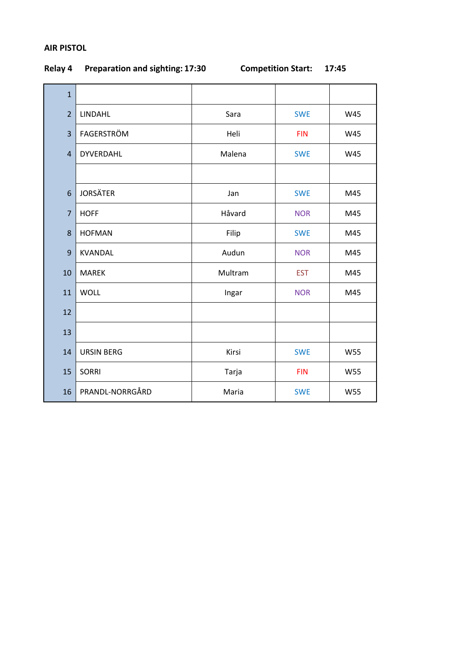## **AIR PISTOL**

| $\mathbf{1}$   |                   |         |            |            |
|----------------|-------------------|---------|------------|------------|
| $\overline{2}$ | LINDAHL           | Sara    | <b>SWE</b> | W45        |
| 3              | FAGERSTRÖM        | Heli    | <b>FIN</b> | W45        |
| $\overline{4}$ | DYVERDAHL         | Malena  | <b>SWE</b> | W45        |
|                |                   |         |            |            |
| 6              | <b>JORSÄTER</b>   | Jan     | <b>SWE</b> | M45        |
| $\overline{7}$ | <b>HOFF</b>       | Håvard  | <b>NOR</b> | M45        |
| 8              | <b>HOFMAN</b>     | Filip   | <b>SWE</b> | M45        |
| 9              | <b>KVANDAL</b>    | Audun   | <b>NOR</b> | M45        |
| 10             | <b>MAREK</b>      | Multram | <b>EST</b> | M45        |
| 11             | <b>WOLL</b>       | Ingar   | <b>NOR</b> | M45        |
| 12             |                   |         |            |            |
| 13             |                   |         |            |            |
| 14             | <b>URSIN BERG</b> | Kirsi   | <b>SWE</b> | <b>W55</b> |
| 15             | <b>SORRI</b>      | Tarja   | <b>FIN</b> | <b>W55</b> |
| 16             | PRANDL-NORRGÅRD   | Maria   | <b>SWE</b> | <b>W55</b> |

# **Relay 4 Preparation and sighting: 17:30 Competition Start: 17:45**

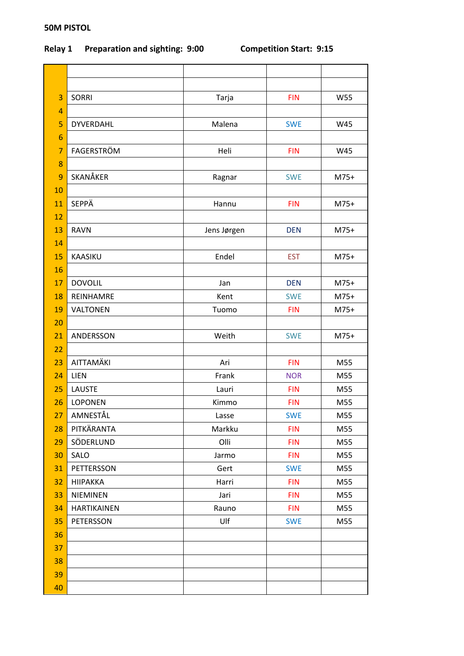## **50M PISTOL**

# **Relay 1 Preparation and sighting: 9:00 Competition Start: 9:15**

| 3              | <b>SORRI</b>       | Tarja       | <b>FIN</b> | <b>W55</b> |
|----------------|--------------------|-------------|------------|------------|
| $\overline{4}$ |                    |             |            |            |
| 5              | <b>DYVERDAHL</b>   | Malena      | <b>SWE</b> | W45        |
| 6              |                    |             |            |            |
| $\overline{7}$ | FAGERSTRÖM         | Heli        | <b>FIN</b> | W45        |
| 8              |                    |             |            |            |
| 9              | SKANÅKER           | Ragnar      | <b>SWE</b> | $M75+$     |
| 10             |                    |             |            |            |
| 11             | <b>SEPPÄ</b>       | Hannu       | <b>FIN</b> | $M75+$     |
| 12             |                    |             |            |            |
| 13             | <b>RAVN</b>        | Jens Jørgen | <b>DEN</b> | M75+       |
| 14             |                    |             |            |            |
| 15             | KAASIKU            | Endel       | <b>EST</b> | $M75+$     |
| 16             |                    |             |            |            |
| 17             | <b>DOVOLIL</b>     | Jan         | <b>DEN</b> | $M75+$     |
| 18             | REINHAMRE          | Kent        | <b>SWE</b> | $M75+$     |
| 19             | <b>VALTONEN</b>    | Tuomo       | <b>FIN</b> | $M75+$     |
| 20             |                    |             |            |            |
| 21             | ANDERSSON          | Weith       | <b>SWE</b> | $M75+$     |
| 22             |                    |             |            |            |
| 23             | AITTAMÄKI          | Ari         | <b>FIN</b> | M55        |
| 24             | LIEN               | Frank       | <b>NOR</b> | M55        |
| 25             | <b>LAUSTE</b>      | Lauri       | <b>FIN</b> | M55        |
| 26             | <b>LOPONEN</b>     | Kimmo       | <b>FIN</b> | M55        |
| 27             | AMNESTÅL           | Lasse       | <b>SWE</b> | M55        |
| 28             | PITKÄRANTA         | Markku      | <b>FIN</b> | M55        |
| 29             | SÖDERLUND          | Olli        | <b>FIN</b> | M55        |
| 30             | SALO               | Jarmo       | <b>FIN</b> | M55        |
| 31             | PETTERSSON         | Gert        | <b>SWE</b> | M55        |
| 32             | <b>HIIPAKKA</b>    | Harri       | <b>FIN</b> | M55        |
| 33             | <b>NIEMINEN</b>    | Jari        | <b>FIN</b> | M55        |
| 34             | <b>HARTIKAINEN</b> | Rauno       | <b>FIN</b> | M55        |
| 35             | PETERSSON          | Ulf         | <b>SWE</b> | M55        |
| 36             |                    |             |            |            |
| 37             |                    |             |            |            |
| 38             |                    |             |            |            |
| 39             |                    |             |            |            |
| 40             |                    |             |            |            |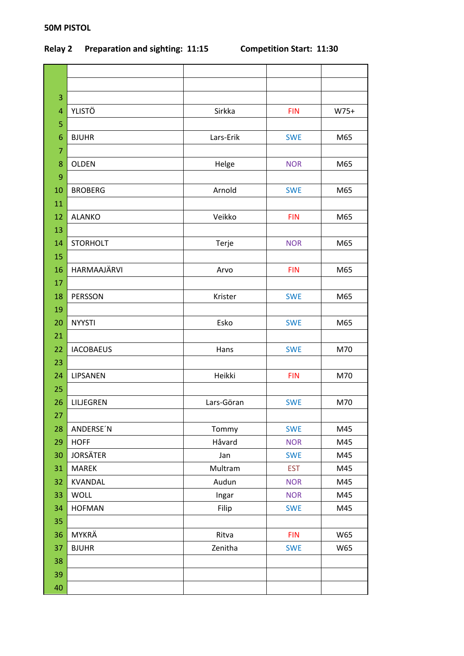# **Relay 2 Preparation and sighting: 11:15 Competition Start: 11:30**

| 3  |                  |            |            |        |
|----|------------------|------------|------------|--------|
| 4  | <b>YLISTÖ</b>    | Sirkka     | <b>FIN</b> | $W75+$ |
| 5  |                  |            |            |        |
| 6  | <b>BJUHR</b>     | Lars-Erik  | <b>SWE</b> | M65    |
| 7  |                  |            |            |        |
| 8  | <b>OLDEN</b>     | Helge      | <b>NOR</b> | M65    |
| 9  |                  |            |            |        |
| 10 | <b>BROBERG</b>   | Arnold     | <b>SWE</b> | M65    |
| 11 |                  |            |            |        |
| 12 | <b>ALANKO</b>    | Veikko     | <b>FIN</b> | M65    |
| 13 |                  |            |            |        |
| 14 | <b>STORHOLT</b>  | Terje      | <b>NOR</b> | M65    |
| 15 |                  |            |            |        |
| 16 | HARMAAJÄRVI      | Arvo       | <b>FIN</b> | M65    |
| 17 |                  |            |            |        |
| 18 | PERSSON          | Krister    | <b>SWE</b> | M65    |
| 19 |                  |            |            |        |
| 20 | <b>NYYSTI</b>    | Esko       | <b>SWE</b> | M65    |
| 21 |                  |            |            |        |
| 22 | <b>IACOBAEUS</b> | Hans       | <b>SWE</b> | M70    |
| 23 |                  |            |            |        |
| 24 | LIPSANEN         | Heikki     | <b>FIN</b> | M70    |
| 25 |                  |            |            |        |
| 26 | LILJEGREN        | Lars-Göran | <b>SWE</b> | M70    |
| 27 |                  |            |            |        |
| 28 | ANDERSE'N        | Tommy      | <b>SWE</b> | M45    |
| 29 | <b>HOFF</b>      | Håvard     | <b>NOR</b> | M45    |
| 30 | <b>JORSÄTER</b>  | Jan        | <b>SWE</b> | M45    |
| 31 | <b>MAREK</b>     | Multram    | <b>EST</b> | M45    |
| 32 | KVANDAL          | Audun      | <b>NOR</b> | M45    |
| 33 | <b>WOLL</b>      | Ingar      | <b>NOR</b> | M45    |
| 34 | <b>HOFMAN</b>    | Filip      | <b>SWE</b> | M45    |
| 35 |                  |            |            |        |
| 36 | MYKRÄ            | Ritva      | <b>FIN</b> | W65    |
| 37 | <b>BJUHR</b>     | Zenitha    | <b>SWE</b> | W65    |
| 38 |                  |            |            |        |
| 39 |                  |            |            |        |
| 40 |                  |            |            |        |

# **50M PISTOL**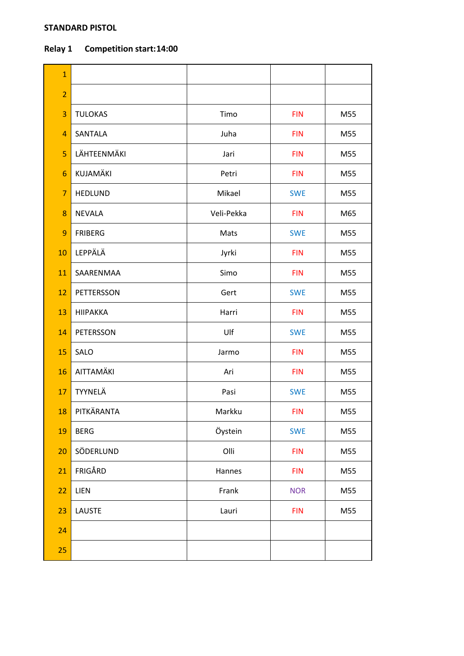### **STANDARD PISTOL**

# **Relay 1 Competition start:14:00**

| $\mathbf{1}$   |                 |            |            |     |
|----------------|-----------------|------------|------------|-----|
| $\overline{2}$ |                 |            |            |     |
| 3              | <b>TULOKAS</b>  | Timo       | <b>FIN</b> | M55 |
| $\overline{4}$ | SANTALA         | Juha       | <b>FIN</b> | M55 |
| 5              | LÄHTEENMÄKI     | Jari       | <b>FIN</b> | M55 |
| 6              | KUJAMÄKI        | Petri      | <b>FIN</b> | M55 |
| $\overline{7}$ | <b>HEDLUND</b>  | Mikael     | <b>SWE</b> | M55 |
| 8              | <b>NEVALA</b>   | Veli-Pekka | <b>FIN</b> | M65 |
| 9              | <b>FRIBERG</b>  | Mats       | <b>SWE</b> | M55 |
| 10             | LEPPÄLÄ         | Jyrki      | <b>FIN</b> | M55 |
| 11             | SAARENMAA       | Simo       | <b>FIN</b> | M55 |
| 12             | PETTERSSON      | Gert       | <b>SWE</b> | M55 |
| 13             | <b>HIIPAKKA</b> | Harri      | <b>FIN</b> | M55 |
| 14             | PETERSSON       | Ulf        | <b>SWE</b> | M55 |
| 15             | SALO            | Jarmo      | <b>FIN</b> | M55 |
| 16             | AITTAMÄKI       | Ari        | <b>FIN</b> | M55 |
| 17             | TYYNELÄ         | Pasi       | <b>SWE</b> | M55 |
| 18             | PITKÄRANTA      | Markku     | <b>FIN</b> | M55 |
| 19             | <b>BERG</b>     | Öystein    | <b>SWE</b> | M55 |
| 20             | SÖDERLUND       | Olli       | <b>FIN</b> | M55 |
| 21             | FRIGÅRD         | Hannes     | <b>FIN</b> | M55 |
| 22             | LIEN            | Frank      | <b>NOR</b> | M55 |
| 23             | <b>LAUSTE</b>   | Lauri      | <b>FIN</b> | M55 |
| 24             |                 |            |            |     |
| 25             |                 |            |            |     |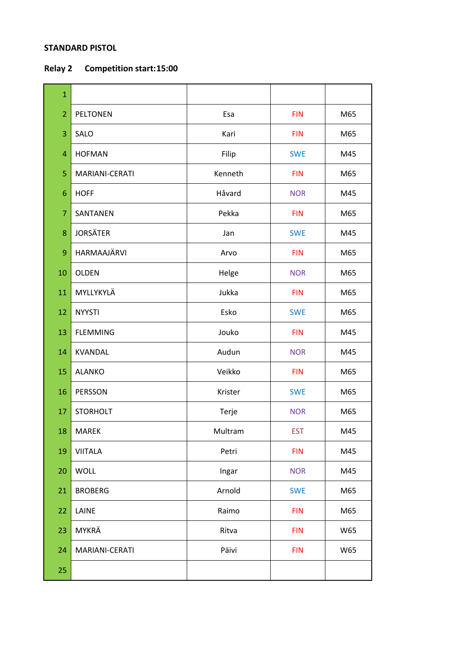## **STANDARD PISTOL**

**Relay 2 Competition start:15:00**

| $\mathbf{1}$   |                 |         |            |     |
|----------------|-----------------|---------|------------|-----|
| $\overline{2}$ | <b>PELTONEN</b> | Esa     | <b>FIN</b> | M65 |
| 3              | SALO            | Kari    | <b>FIN</b> | M65 |
| 4              | <b>HOFMAN</b>   | Filip   | <b>SWE</b> | M45 |
| 5              | MARIANI-CERATI  | Kenneth | <b>FIN</b> | M65 |
| 6              | <b>HOFF</b>     | Håvard  | <b>NOR</b> | M45 |
| $\overline{7}$ | SANTANEN        | Pekka   | <b>FIN</b> | M65 |
| 8              | <b>JORSÄTER</b> | Jan     | <b>SWE</b> | M45 |
| 9              | HARMAAJÄRVI     | Arvo    | <b>FIN</b> | M65 |
| 10             | <b>OLDEN</b>    | Helge   | <b>NOR</b> | M65 |
| 11             | MYLLYKYLÄ       | Jukka   | <b>FIN</b> | M65 |
| 12             | <b>NYYSTI</b>   | Esko    | <b>SWE</b> | M65 |
| 13             | <b>FLEMMING</b> | Jouko   | <b>FIN</b> | M45 |
| 14             | <b>KVANDAL</b>  | Audun   | <b>NOR</b> | M45 |
| 15             | <b>ALANKO</b>   | Veikko  | <b>FIN</b> | M65 |
| 16             | PERSSON         | Krister | <b>SWE</b> | M65 |
| 17             | <b>STORHOLT</b> | Terje   | <b>NOR</b> | M65 |
| 18             | MAREK           | Multram | <b>EST</b> | M45 |
| 19             | <b>VIITALA</b>  | Petri   | <b>FIN</b> | M45 |
| 20             | <b>WOLL</b>     | Ingar   | <b>NOR</b> | M45 |
| 21             | <b>BROBERG</b>  | Arnold  | <b>SWE</b> | M65 |
| 22             | LAINE           | Raimo   | <b>FIN</b> | M65 |
| 23             | MYKRÄ           | Ritva   | <b>FIN</b> | W65 |
| 24             | MARIANI-CERATI  | Päivi   | <b>FIN</b> | W65 |
| 25             |                 |         |            |     |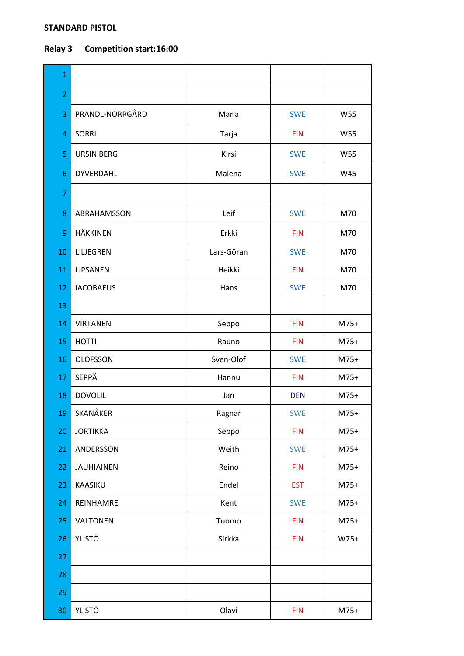### **STANDARD PISTOL**

# **Relay 3 Competition start:16:00**

| $\mathbf{1}$   |                   |            |            |            |
|----------------|-------------------|------------|------------|------------|
| $\overline{2}$ |                   |            |            |            |
| 3              | PRANDL-NORRGÅRD   | Maria      | <b>SWE</b> | W55        |
| 4              | <b>SORRI</b>      | Tarja      | <b>FIN</b> | <b>W55</b> |
| 5              | <b>URSIN BERG</b> | Kirsi      | <b>SWE</b> | W55        |
| 6              | DYVERDAHL         | Malena     | <b>SWE</b> | W45        |
| $\overline{7}$ |                   |            |            |            |
| 8              | ABRAHAMSSON       | Leif       | <b>SWE</b> | M70        |
| 9              | <b>HÄKKINEN</b>   | Erkki      | <b>FIN</b> | M70        |
| 10             | LILJEGREN         | Lars-Göran | <b>SWE</b> | M70        |
| 11             | LIPSANEN          | Heikki     | <b>FIN</b> | M70        |
| 12             | <b>IACOBAEUS</b>  | Hans       | <b>SWE</b> | M70        |
| 13             |                   |            |            |            |
| 14             | <b>VIRTANEN</b>   | Seppo      | <b>FIN</b> | $M75+$     |
| 15             | <b>HOTTI</b>      | Rauno      | <b>FIN</b> | $M75+$     |
| 16             | <b>OLOFSSON</b>   | Sven-Olof  | <b>SWE</b> | $M75+$     |
| 17             | <b>SEPPÄ</b>      | Hannu      | <b>FIN</b> | $M75+$     |
| 18             | <b>DOVOLIL</b>    | Jan        | <b>DEN</b> | $M75+$     |
| 19             | SKANÅKER          | Ragnar     | <b>SWE</b> | $M75+$     |
| 20             | <b>JORTIKKA</b>   | Seppo      | <b>FIN</b> | $M75+$     |
| 21             | ANDERSSON         | Weith      | <b>SWE</b> | $M75+$     |
| 22             | <b>JAUHIAINEN</b> | Reino      | <b>FIN</b> | $M75+$     |
| 23             | KAASIKU           | Endel      | <b>EST</b> | $M75+$     |
| 24             | REINHAMRE         | Kent       | <b>SWE</b> | $M75+$     |
| 25             | VALTONEN          | Tuomo      | <b>FIN</b> | $M75+$     |
| 26             | <b>YLISTÖ</b>     | Sirkka     | <b>FIN</b> | $W75+$     |
| 27             |                   |            |            |            |
| 28             |                   |            |            |            |
| 29             |                   |            |            |            |
| 30             | <b>YLISTÖ</b>     | Olavi      | <b>FIN</b> | $M75+$     |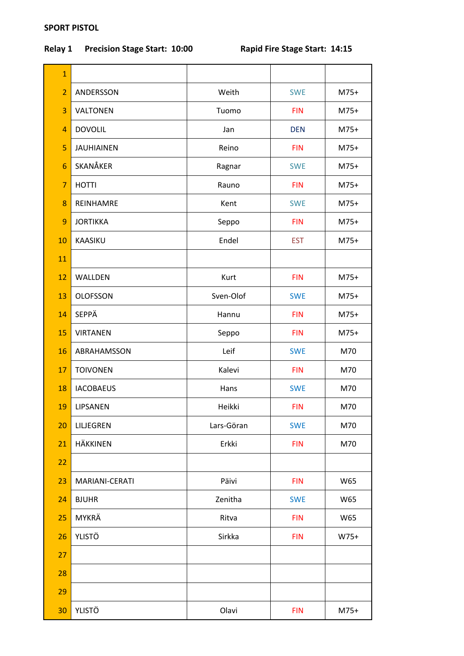## **SPORT PISTOL**

# **Relay 1 Precision Stage Start: 10:00 Rapid Fire Stage Start: 14:15**

| $\mathbf{1}$    |                   |            |            |        |
|-----------------|-------------------|------------|------------|--------|
| $\overline{2}$  | ANDERSSON         | Weith      | <b>SWE</b> | $M75+$ |
| 3               | VALTONEN          | Tuomo      | <b>FIN</b> | $M75+$ |
| 4               | <b>DOVOLIL</b>    | Jan        | <b>DEN</b> | $M75+$ |
| 5               | <b>JAUHIAINEN</b> | Reino      | <b>FIN</b> | $M75+$ |
| $6\phantom{1}6$ | SKANÅKER          | Ragnar     | <b>SWE</b> | $M75+$ |
| $\overline{7}$  | <b>HOTTI</b>      | Rauno      | <b>FIN</b> | $M75+$ |
| 8               | REINHAMRE         | Kent       | <b>SWE</b> | $M75+$ |
| 9               | <b>JORTIKKA</b>   | Seppo      | <b>FIN</b> | $M75+$ |
| 10              | <b>KAASIKU</b>    | Endel      | <b>EST</b> | $M75+$ |
| 11              |                   |            |            |        |
| 12              | WALLDEN           | Kurt       | <b>FIN</b> | $M75+$ |
| 13              | <b>OLOFSSON</b>   | Sven-Olof  | <b>SWE</b> | $M75+$ |
| 14              | SEPPÄ             | Hannu      | <b>FIN</b> | $M75+$ |
| 15              | <b>VIRTANEN</b>   | Seppo      | <b>FIN</b> | $M75+$ |
| 16              | ABRAHAMSSON       | Leif       | <b>SWE</b> | M70    |
| 17              | <b>TOIVONEN</b>   | Kalevi     | <b>FIN</b> | M70    |
| 18              | <b>IACOBAEUS</b>  | Hans       | <b>SWE</b> | M70    |
| 19              | LIPSANEN          | Heikki     | <b>FIN</b> | M70    |
| 20              | LILJEGREN         | Lars-Göran | <b>SWE</b> | M70    |
| 21              | <b>HÄKKINEN</b>   | Erkki      | <b>FIN</b> | M70    |
| 22              |                   |            |            |        |
| 23              | MARIANI-CERATI    | Päivi      | <b>FIN</b> | W65    |
| 24              | <b>BJUHR</b>      | Zenitha    | <b>SWE</b> | W65    |
| 25              | MYKRÄ             | Ritva      | <b>FIN</b> | W65    |
| 26              | <b>YLISTÖ</b>     | Sirkka     | <b>FIN</b> | W75+   |
| 27              |                   |            |            |        |
| 28              |                   |            |            |        |
| 29              |                   |            |            |        |
| 30              | <b>YLISTÖ</b>     | Olavi      | <b>FIN</b> | $M75+$ |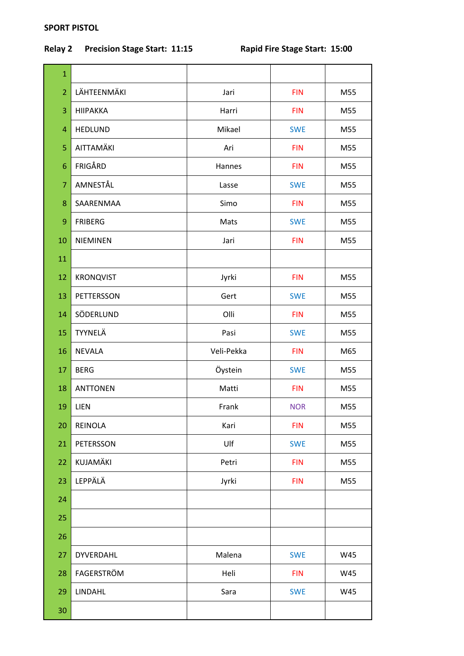## **SPORT PISTOL**

# **Relay 2 Precision Stage Start: 11:15 Rapid Fire Stage Start: 15:00**

| $\mathbf{1}$   |                  |            |            |     |
|----------------|------------------|------------|------------|-----|
| $\overline{2}$ | LÄHTEENMÄKI      | Jari       | <b>FIN</b> | M55 |
| 3              | <b>HIIPAKKA</b>  | Harri      | <b>FIN</b> | M55 |
| 4              | <b>HEDLUND</b>   | Mikael     | <b>SWE</b> | M55 |
| 5              | AITTAMÄKI        | Ari        | <b>FIN</b> | M55 |
| 6              | FRIGÅRD          | Hannes     | <b>FIN</b> | M55 |
| $\overline{7}$ | AMNESTÅL         | Lasse      | <b>SWE</b> | M55 |
| 8              | SAARENMAA        | Simo       | <b>FIN</b> | M55 |
| 9              | <b>FRIBERG</b>   | Mats       | <b>SWE</b> | M55 |
| 10             | <b>NIEMINEN</b>  | Jari       | <b>FIN</b> | M55 |
| 11             |                  |            |            |     |
| 12             | <b>KRONQVIST</b> | Jyrki      | <b>FIN</b> | M55 |
| 13             | PETTERSSON       | Gert       | <b>SWE</b> | M55 |
| 14             | SÖDERLUND        | Olli       | <b>FIN</b> | M55 |
| 15             | TYYNELÄ          | Pasi       | <b>SWE</b> | M55 |
| 16             | <b>NEVALA</b>    | Veli-Pekka | <b>FIN</b> | M65 |
| 17             | <b>BERG</b>      | Öystein    | <b>SWE</b> | M55 |
| 18             | <b>ANTTONEN</b>  | Matti      | <b>FIN</b> | M55 |
| 19             | <b>LIEN</b>      | Frank      | <b>NOR</b> | M55 |
| 20             | <b>REINOLA</b>   | Kari       | <b>FIN</b> | M55 |
| 21             | PETERSSON        | Ulf        | <b>SWE</b> | M55 |
| 22             | KUJAMÄKI         | Petri      | <b>FIN</b> | M55 |
| 23             | LEPPÄLÄ          | Jyrki      | <b>FIN</b> | M55 |
| 24             |                  |            |            |     |
| 25             |                  |            |            |     |
| 26             |                  |            |            |     |
| 27             | <b>DYVERDAHL</b> | Malena     | <b>SWE</b> | W45 |
| 28             | FAGERSTRÖM       | Heli       | <b>FIN</b> | W45 |
| 29             | LINDAHL          | Sara       | <b>SWE</b> | W45 |
| 30             |                  |            |            |     |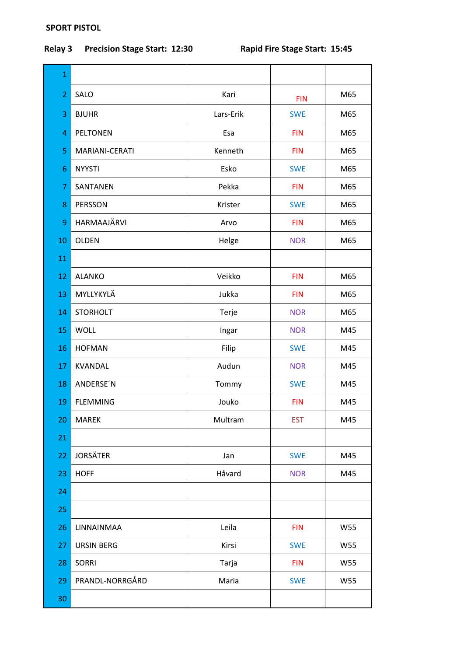## **SPORT PISTOL**

# **Relay 3 Precision Stage Start: 12:30 Rapid Fire Stage Start: 15:45**

| $\mathbf{1}$   |                   |           |            |     |
|----------------|-------------------|-----------|------------|-----|
| $\overline{2}$ | SALO              | Kari      | <b>FIN</b> | M65 |
| 3              | <b>BJUHR</b>      | Lars-Erik | <b>SWE</b> | M65 |
| 4              | <b>PELTONEN</b>   | Esa       | <b>FIN</b> | M65 |
| 5              | MARIANI-CERATI    | Kenneth   | <b>FIN</b> | M65 |
| 6              | <b>NYYSTI</b>     | Esko      | <b>SWE</b> | M65 |
| 7              | SANTANEN          | Pekka     | <b>FIN</b> | M65 |
| 8              | <b>PERSSON</b>    | Krister   | <b>SWE</b> | M65 |
| 9              | HARMAAJÄRVI       | Arvo      | <b>FIN</b> | M65 |
| 10             | <b>OLDEN</b>      | Helge     | <b>NOR</b> | M65 |
| 11             |                   |           |            |     |
| 12             | <b>ALANKO</b>     | Veikko    | <b>FIN</b> | M65 |
| 13             | MYLLYKYLÄ         | Jukka     | <b>FIN</b> | M65 |
| 14             | <b>STORHOLT</b>   | Terje     | <b>NOR</b> | M65 |
| 15             | <b>WOLL</b>       | Ingar     | <b>NOR</b> | M45 |
| 16             | <b>HOFMAN</b>     | Filip     | <b>SWE</b> | M45 |
| 17             | <b>KVANDAL</b>    | Audun     | <b>NOR</b> | M45 |
| 18             | ANDERSE'N         | Tommy     | <b>SWE</b> | M45 |
| 19             | <b>FLEMMING</b>   | Jouko     | <b>FIN</b> | M45 |
| 20             | <b>MAREK</b>      | Multram   | <b>EST</b> | M45 |
| 21             |                   |           |            |     |
| 22             | <b>JORSÄTER</b>   | Jan       | <b>SWE</b> | M45 |
| 23             | <b>HOFF</b>       | Håvard    | <b>NOR</b> | M45 |
| 24             |                   |           |            |     |
| 25             |                   |           |            |     |
| 26             | LINNAINMAA        | Leila     | <b>FIN</b> | W55 |
| 27             | <b>URSIN BERG</b> | Kirsi     | <b>SWE</b> | W55 |
| 28             | <b>SORRI</b>      | Tarja     | <b>FIN</b> | W55 |
| 29             | PRANDL-NORRGÅRD   | Maria     | <b>SWE</b> | W55 |
| 30             |                   |           |            |     |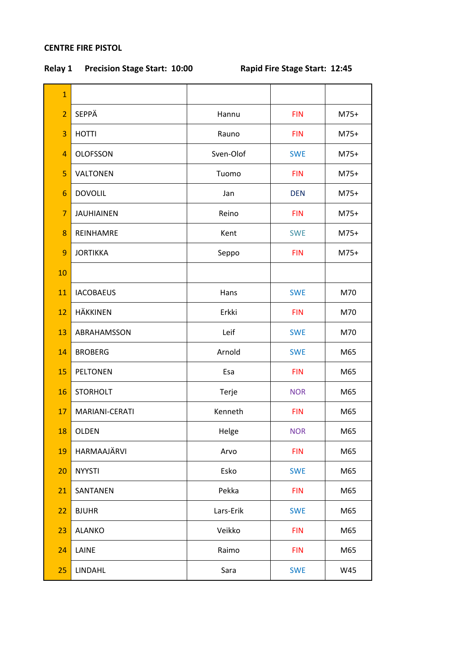## **CENTRE FIRE PISTOL**

**Relay 1 Precision Stage Start: 10:00 Rapid Fire Stage Start: 12:45**

| $\mathbf{1}$   |                   |           |            |        |
|----------------|-------------------|-----------|------------|--------|
| $\overline{2}$ | SEPPÄ             | Hannu     | <b>FIN</b> | $M75+$ |
| 3              | <b>HOTTI</b>      | Rauno     | <b>FIN</b> | $M75+$ |
| $\overline{4}$ | <b>OLOFSSON</b>   | Sven-Olof | <b>SWE</b> | $M75+$ |
| 5              | <b>VALTONEN</b>   | Tuomo     | <b>FIN</b> | $M75+$ |
| 6              | <b>DOVOLIL</b>    | Jan       | <b>DEN</b> | $M75+$ |
| $\overline{7}$ | <b>JAUHIAINEN</b> | Reino     | <b>FIN</b> | $M75+$ |
| 8              | REINHAMRE         | Kent      | <b>SWE</b> | $M75+$ |
| 9              | <b>JORTIKKA</b>   | Seppo     | <b>FIN</b> | $M75+$ |
| 10             |                   |           |            |        |
| 11             | <b>IACOBAEUS</b>  | Hans      | <b>SWE</b> | M70    |
| 12             | <b>HÄKKINEN</b>   | Erkki     | <b>FIN</b> | M70    |
| 13             | ABRAHAMSSON       | Leif      | <b>SWE</b> | M70    |
| 14             | <b>BROBERG</b>    | Arnold    | <b>SWE</b> | M65    |
| 15             | <b>PELTONEN</b>   | Esa       | <b>FIN</b> | M65    |
| 16             | <b>STORHOLT</b>   | Terje     | <b>NOR</b> | M65    |
| 17             | MARIANI-CERATI    | Kenneth   | <b>FIN</b> | M65    |
| 18             | OLDEN             | Helge     | <b>NOR</b> | M65    |
| 19             | HARMAAJÄRVI       | Arvo      | <b>FIN</b> | M65    |
| 20             | <b>NYYSTI</b>     | Esko      | <b>SWE</b> | M65    |
| 21             | SANTANEN          | Pekka     | <b>FIN</b> | M65    |
| 22             | <b>BJUHR</b>      | Lars-Erik | <b>SWE</b> | M65    |
| 23             | <b>ALANKO</b>     | Veikko    | <b>FIN</b> | M65    |
| 24             | LAINE             | Raimo     | <b>FIN</b> | M65    |
| 25             | LINDAHL           | Sara      | <b>SWE</b> | W45    |